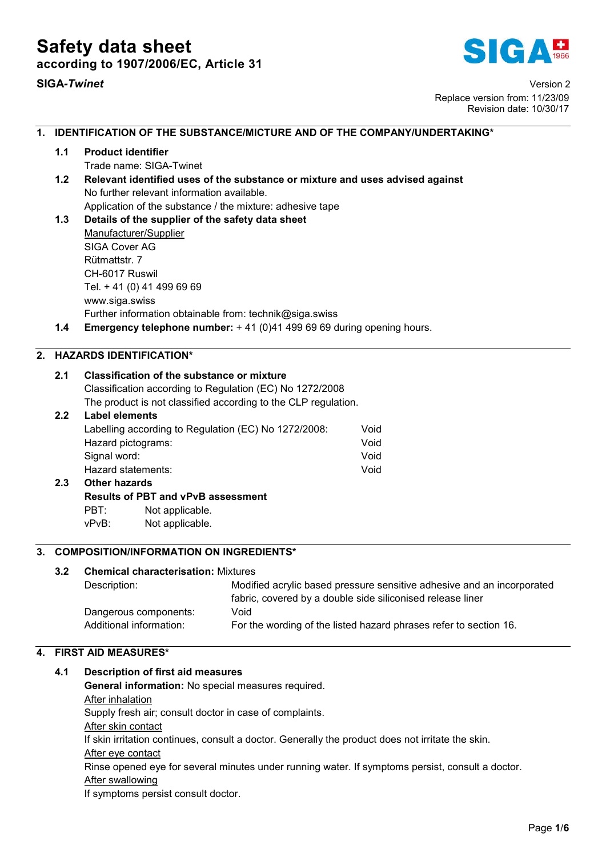

SIGA*-Twinet* Version 2 Replace version from: 11/23/09 Revision date: 10/30/17

# 1. IDENTIFICATION OF THE SUBSTANCE/MICTURE AND OF THE COMPANY/UNDERTAKING\* 1.1 Product identifier Trade name: SIGA-Twinet 1.2 Relevant identified uses of the substance or mixture and uses advised against No further relevant information available. Application of the substance / the mixture: adhesive tape 1.3 Details of the supplier of the safety data sheet Manufacturer/Supplier SIGA Cover AG Rütmattstr. 7 CH-6017 Ruswil Tel. + 41 (0) 41 499 69 69 www.siga.swiss Further information obtainable from: technik@siga.swiss 1.4 Emergency telephone number: +41 (0)41 499 69 69 during opening hours. 2. HAZARDS IDENTIFICATION\* 2.1 Classification of the substance or mixture Classification according to Regulation (EC) No 1272/2008 The product is not classified according to the CLP regulation. 2.2 Label elements Labelling according to Regulation (EC) No 1272/2008: Void Hazard pictograms: Void Signal word: Void Hazard statements: Void 2.3 Other hazards Results of PBT and vPvB assessment PBT: Not applicable. vPvB: Not applicable. 3. COMPOSITION/INFORMATION ON INGREDIENTS\* 3.2 Chemical characterisation: Mixtures Description: Modified acrylic based pressure sensitive adhesive and an incorporated fabric, covered by a double side siliconised release liner Dangerous components: Void Additional information: For the wording of the listed hazard phrases refer to section 16.

# 4. FIRST AID MEASURES\*

# 4.1 Description of first aid measures

General information: No special measures required. After inhalation

Supply fresh air; consult doctor in case of complaints.

After skin contact

If skin irritation continues, consult a doctor. Generally the product does not irritate the skin.

After eye contact

Rinse opened eye for several minutes under running water. If symptoms persist, consult a doctor. After swallowing

If symptoms persist consult doctor.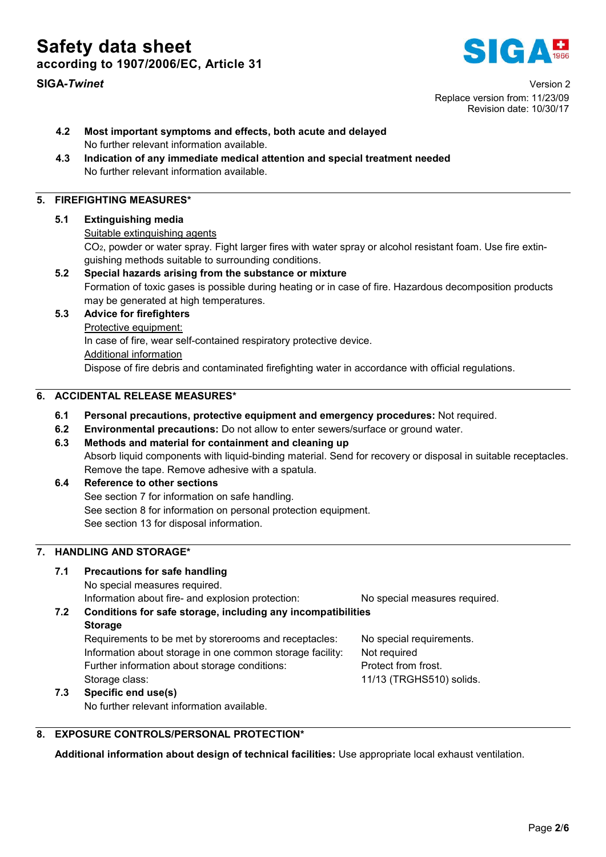Safety data sheet according to 1907/2006/EC, Article 31



SIGA*-Twinet* Version 2 Replace version from: 11/23/09 Revision date: 10/30/17

- 4.2 Most important symptoms and effects, both acute and delayed No further relevant information available.
- 4.3 Indication of any immediate medical attention and special treatment needed No further relevant information available.

# 5. FIREFIGHTING MEASURES\*

#### 5.1 Extinguishing media

#### Suitable extinguishing agents

CO2, powder or water spray. Fight larger fires with water spray or alcohol resistant foam. Use fire extinguishing methods suitable to surrounding conditions.

5.2 Special hazards arising from the substance or mixture Formation of toxic gases is possible during heating or in case of fire. Hazardous decomposition products may be generated at high temperatures.

### 5.3 Advice for firefighters

Protective equipment:

In case of fire, wear self-contained respiratory protective device.

Additional information

Dispose of fire debris and contaminated firefighting water in accordance with official regulations.

# 6. ACCIDENTAL RELEASE MEASURES\*

- 6.1 Personal precautions, protective equipment and emergency procedures: Not required.
- 6.2 Environmental precautions: Do not allow to enter sewers/surface or ground water.
- 6.3 Methods and material for containment and cleaning up Absorb liquid components with liquid-binding material. Send for recovery or disposal in suitable receptacles. Remove the tape. Remove adhesive with a spatula.
- 6.4 Reference to other sections See section 7 for information on safe handling. See section 8 for information on personal protection equipment. See section 13 for disposal information.

# 7. HANDLING AND STORAGE\*

# 7.1 Precautions for safe handling

No special measures required.

Information about fire- and explosion protection: No special measures required.

# 7.2 Conditions for safe storage, including any incompatibilities Storage

Requirements to be met by storerooms and receptacles: No special requirements. Information about storage in one common storage facility: Not required Further information about storage conditions: Protect from frost. Storage class:  $\overline{11/13}$  (TRGHS510) solids.

# 7.3 Specific end use(s)

No further relevant information available.

8. EXPOSURE CONTROLS/PERSONAL PROTECTION\*

Additional information about design of technical facilities: Use appropriate local exhaust ventilation.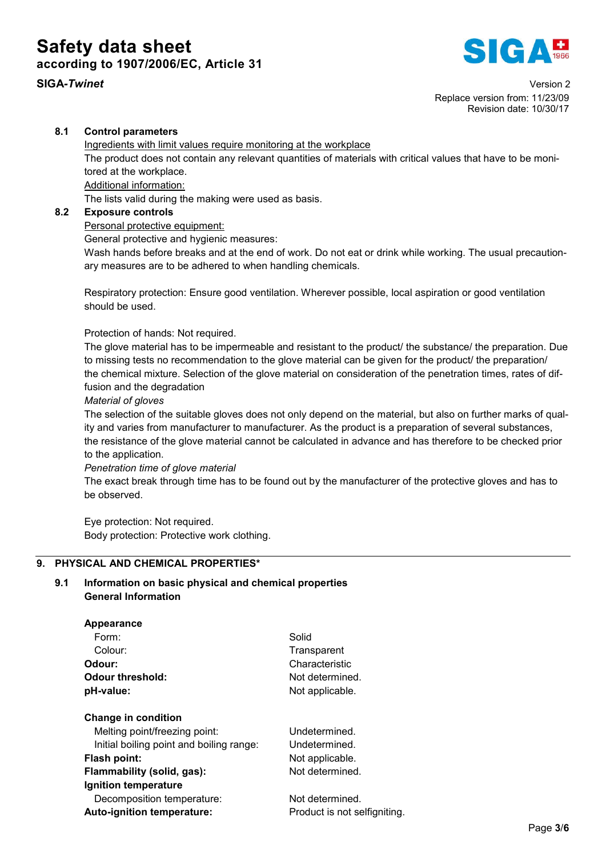# Safety data sheet according to 1907/2006/EC, Article 31





SIGA*-Twinet* Version 2 Replace version from: 11/23/09 Revision date: 10/30/17

# 8.1 Control parameters

Ingredients with limit values require monitoring at the workplace The product does not contain any relevant quantities of materials with critical values that have to be monitored at the workplace. Additional information:

The lists valid during the making were used as basis.

# 8.2 Exposure controls

Personal protective equipment:

General protective and hygienic measures:

Wash hands before breaks and at the end of work. Do not eat or drink while working. The usual precautionary measures are to be adhered to when handling chemicals.

Respiratory protection: Ensure good ventilation. Wherever possible, local aspiration or good ventilation should be used.

Protection of hands: Not required.

The glove material has to be impermeable and resistant to the product/ the substance/ the preparation. Due to missing tests no recommendation to the glove material can be given for the product/ the preparation/ the chemical mixture. Selection of the glove material on consideration of the penetration times, rates of diffusion and the degradation

*Material of gloves*

The selection of the suitable gloves does not only depend on the material, but also on further marks of quality and varies from manufacturer to manufacturer. As the product is a preparation of several substances, the resistance of the glove material cannot be calculated in advance and has therefore to be checked prior to the application.

*Penetration time of glove material*

The exact break through time has to be found out by the manufacturer of the protective gloves and has to be observed.

Eye protection: Not required. Body protection: Protective work clothing.

# 9. PHYSICAL AND CHEMICAL PROPERTIES\*

# 9.1 Information on basic physical and chemical properties General Information

#### Appearance

| Form:                                    | Solid                        |  |
|------------------------------------------|------------------------------|--|
| Colour:                                  | Transparent                  |  |
| Odour:                                   | Characteristic               |  |
| <b>Odour threshold:</b>                  | Not determined.              |  |
| pH-value:                                | Not applicable.              |  |
| Change in condition                      |                              |  |
| Melting point/freezing point:            | Undetermined.                |  |
| Initial boiling point and boiling range: | Undetermined.                |  |
| Flash point:                             | Not applicable.              |  |
| Flammability (solid, gas):               | Not determined.              |  |
| Ignition temperature                     |                              |  |
| Decomposition temperature:               | Not determined.              |  |
| Auto-ignition temperature:               | Product is not selfigniting. |  |
|                                          |                              |  |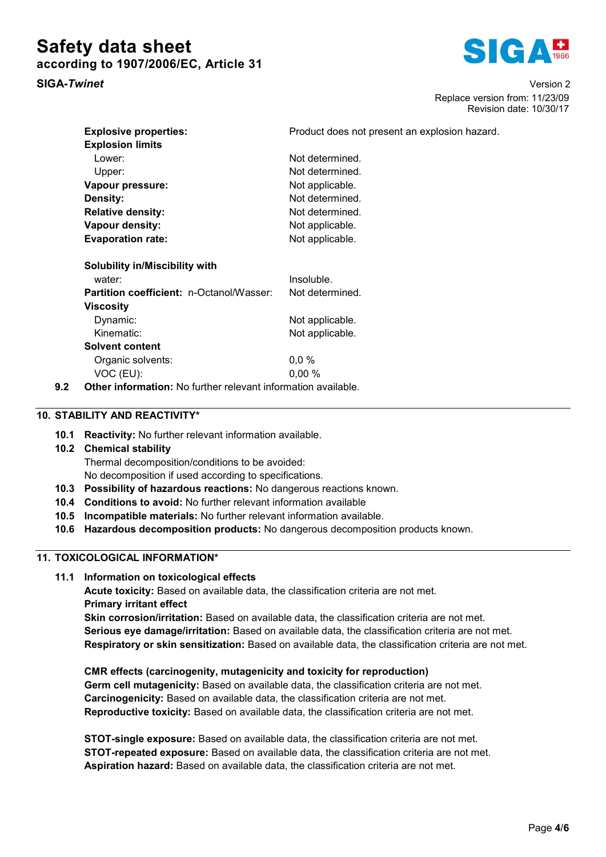# Safety data sheet according to 1907/2006/EC, Article 31





SIGA*-Twinet* Version 2 Replace version from: 11/23/09 Revision date: 10/30/17

an explosion hazard.

| <b>Explosive properties:</b>                    | Product does not present |  |
|-------------------------------------------------|--------------------------|--|
| <b>Explosion limits</b>                         |                          |  |
| Lower:                                          | Not determined.          |  |
| Upper:                                          | Not determined.          |  |
| Vapour pressure:                                | Not applicable.          |  |
| Density:                                        | Not determined.          |  |
| <b>Relative density:</b>                        | Not determined.          |  |
| Vapour density:                                 | Not applicable.          |  |
| <b>Evaporation rate:</b>                        | Not applicable.          |  |
| Solubility in/Miscibility with                  |                          |  |
| water:                                          | Insoluble.               |  |
| <b>Partition coefficient: n-Octanol/Wasser:</b> | Not determined           |  |

| <b>Partition coefficient: n-Octanol/Wasser:</b> | Not determined. |
|-------------------------------------------------|-----------------|
| <b>Viscosity</b>                                |                 |
| Dynamic:                                        | Not applicable. |
| Kinematic:                                      | Not applicable. |
| <b>Solvent content</b>                          |                 |
| Organic solvents:                               | 0,0%            |
| VOC (EU):                                       | 0.00%           |
|                                                 |                 |

9.2 Other information: No further relevant information available.

# 10. STABILITY AND REACTIVITY\*

10.1 Reactivity: No further relevant information available.

# 10.2 Chemical stability

Thermal decomposition/conditions to be avoided:

No decomposition if used according to specifications.

- 10.3 Possibility of hazardous reactions: No dangerous reactions known.
- 10.4 Conditions to avoid: No further relevant information available
- 10.5 Incompatible materials: No further relevant information available.
- 10.6 Hazardous decomposition products: No dangerous decomposition products known.

# 11. TOXICOLOGICAL INFORMATION\*

11.1 Information on toxicological effects

Acute toxicity: Based on available data, the classification criteria are not met. Primary irritant effect Skin corrosion/irritation: Based on available data, the classification criteria are not met.

Serious eye damage/irritation: Based on available data, the classification criteria are not met. Respiratory or skin sensitization: Based on available data, the classification criteria are not met.

CMR effects (carcinogenity, mutagenicity and toxicity for reproduction) Germ cell mutagenicity: Based on available data, the classification criteria are not met. Carcinogenicity: Based on available data, the classification criteria are not met. Reproductive toxicity: Based on available data, the classification criteria are not met.

STOT-single exposure: Based on available data, the classification criteria are not met. STOT-repeated exposure: Based on available data, the classification criteria are not met. Aspiration hazard: Based on available data, the classification criteria are not met.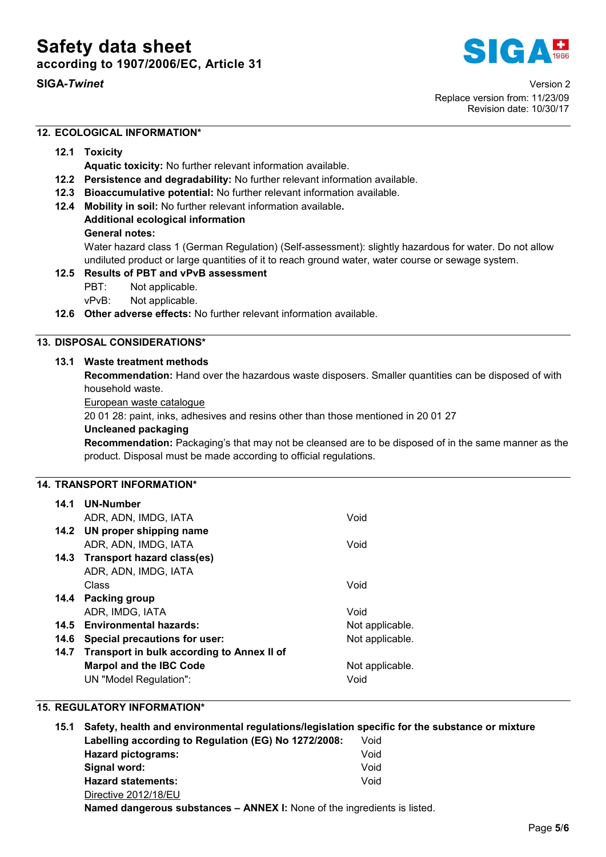



SIGA*-Twinet* Version 2 Replace version from: 11/23/09 Revision date: 10/30/17

# 12. ECOLOGICAL INFORMATION\*

### 12.1 Toxicity

Aquatic toxicity: No further relevant information available.

- 12.2 Persistence and degradability: No further relevant information available.
- 12.3 Bioaccumulative potential: No further relevant information available.
- 12.4 Mobility in soil: No further relevant information available.
	- Additional ecological information General notes:

Water hazard class 1 (German Regulation) (Self-assessment): slightly hazardous for water. Do not allow undiluted product or large quantities of it to reach ground water, water course or sewage system.

# 12.5 Results of PBT and vPvB assessment

PBT: Not applicable.

vPvB: Not applicable.

12.6 Other adverse effects: No further relevant information available.

# 13. DISPOSAL CONSIDERATIONS\*

### 13.1 Waste treatment methods

Recommendation: Hand over the hazardous waste disposers. Smaller quantities can be disposed of with household waste.

#### European waste catalogue

20 01 28: paint, inks, adhesives and resins other than those mentioned in 20 01 27

#### Uncleaned packaging

Recommendation: Packaging's that may not be cleansed are to be disposed of in the same manner as the product. Disposal must be made according to official regulations.

# 14. TRANSPORT INFORMATION\*

|      | 14.1 UN-Number                             |                 |
|------|--------------------------------------------|-----------------|
|      | ADR, ADN, IMDG, IATA                       | Void            |
|      | 14.2 UN proper shipping name               |                 |
|      | ADR, ADN, IMDG, IATA                       | Void            |
|      | 14.3 Transport hazard class(es)            |                 |
|      | ADR, ADN, IMDG, IATA                       |                 |
|      | Class                                      | Void            |
|      | 14.4 Packing group                         |                 |
|      | ADR, IMDG, IATA                            | Void            |
|      | 14.5 Environmental hazards:                | Not applicable. |
| 14.6 | Special precautions for user:              | Not applicable. |
| 14.7 | Transport in bulk according to Annex II of |                 |
|      | <b>Marpol and the IBC Code</b>             | Not applicable. |
|      | UN "Model Regulation":                     | Void            |

# 15. REGULATORY INFORMATION\*

15.1 Safety, health and environmental regulations/legislation specific for the substance or mixture Labelling according to Regulation (EG) No 1272/2008: Void Hazard pictograms: Void Signal word: We have a state of the state of the United States of the Void Hazard statements: Void Directive 2012/18/EU Named dangerous substances – ANNEX I: None of the ingredients is listed.